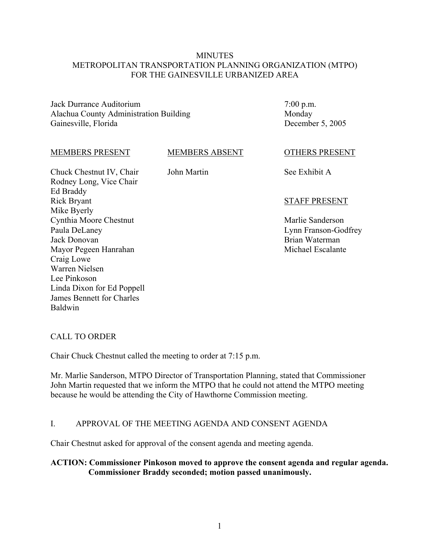#### **MINUTES** METROPOLITAN TRANSPORTATION PLANNING ORGANIZATION (MTPO) FOR THE GAINESVILLE URBANIZED AREA

Jack Durrance Auditorium Alachua County Administration Building Gainesville, Florida

7:00 p.m. Monday December 5, 2005

#### MEMBERS PRESENT

MEMBERS ABSENT

John Martin

Chuck Chestnut IV, Chair Rodney Long, Vice Chair Ed Braddy Rick Bryant Mike Byerly Cynthia Moore Chestnut Paula DeLaney Jack Donovan Mayor Pegeen Hanrahan Craig Lowe Warren Nielsen Lee Pinkoson Linda Dixon for Ed Poppell James Bennett for Charles Baldwin

OTHERS PRESENT

See Exhibit A

#### STAFF PRESENT

Marlie Sanderson Lynn Franson-Godfrey Brian Waterman Michael Escalante

#### CALL TO ORDER

Chair Chuck Chestnut called the meeting to order at 7:15 p.m.

Mr. Marlie Sanderson, MTPO Director of Transportation Planning, stated that Commissioner John Martin requested that we inform the MTPO that he could not attend the MTPO meeting because he would be attending the City of Hawthorne Commission meeting.

#### I. APPROVAL OF THE MEETING AGENDA AND CONSENT AGENDA

Chair Chestnut asked for approval of the consent agenda and meeting agenda.

#### **ACTION: Commissioner Pinkoson moved to approve the consent agenda and regular agenda. Commissioner Braddy seconded; motion passed unanimously.**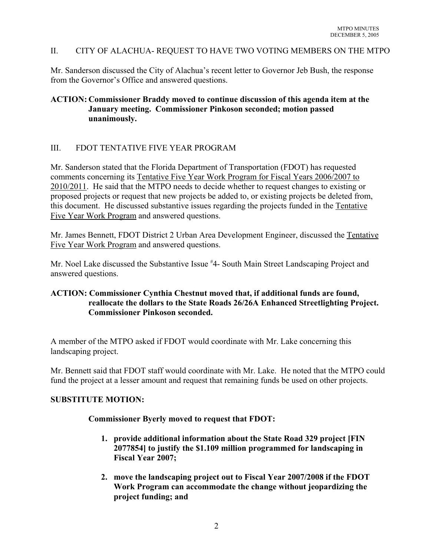#### II. CITY OF ALACHUA- REQUEST TO HAVE TWO VOTING MEMBERS ON THE MTPO

Mr. Sanderson discussed the City of Alachua's recent letter to Governor Jeb Bush, the response from the Governor's Office and answered questions.

# **ACTION: Commissioner Braddy moved to continue discussion of this agenda item at the January meeting. Commissioner Pinkoson seconded; motion passed unanimously.**

# III. FDOT TENTATIVE FIVE YEAR PROGRAM

Mr. Sanderson stated that the Florida Department of Transportation (FDOT) has requested comments concerning its Tentative Five Year Work Program for Fiscal Years 2006/2007 to 2010/2011. He said that the MTPO needs to decide whether to request changes to existing or proposed projects or request that new projects be added to, or existing projects be deleted from, this document. He discussed substantive issues regarding the projects funded in the Tentative Five Year Work Program and answered questions.

Mr. James Bennett, FDOT District 2 Urban Area Development Engineer, discussed the Tentative Five Year Work Program and answered questions.

Mr. Noel Lake discussed the Substantive Issue # 4- South Main Street Landscaping Project and answered questions.

# **ACTION: Commissioner Cynthia Chestnut moved that, if additional funds are found, reallocate the dollars to the State Roads 26/26A Enhanced Streetlighting Project. Commissioner Pinkoson seconded.**

A member of the MTPO asked if FDOT would coordinate with Mr. Lake concerning this landscaping project.

Mr. Bennett said that FDOT staff would coordinate with Mr. Lake. He noted that the MTPO could fund the project at a lesser amount and request that remaining funds be used on other projects.

#### **SUBSTITUTE MOTION:**

#### **Commissioner Byerly moved to request that FDOT:**

- **1. provide additional information about the State Road 329 project [FIN 2077854] to justify the \$1.109 million programmed for landscaping in Fiscal Year 2007;**
- **2. move the landscaping project out to Fiscal Year 2007/2008 if the FDOT Work Program can accommodate the change without jeopardizing the project funding; and**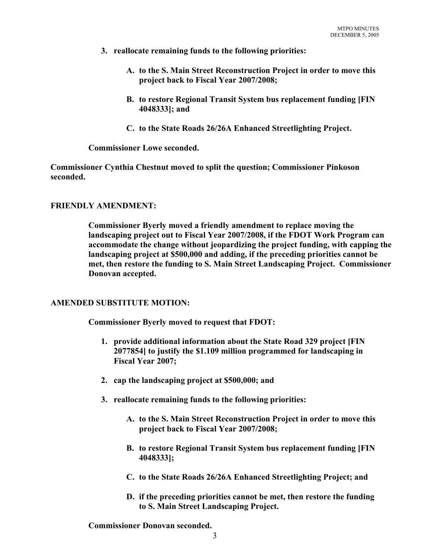- **3. reallocate remaining funds to the following priorities:**
	- **A. to the S. Main Street Reconstruction Project in order to move this project back to Fiscal Year 2007/2008;**
	- **B. to restore Regional Transit System bus replacement funding [FIN 4048333]; and**
	- **C. to the State Roads 26/26A Enhanced Streetlighting Project.**

**Commissioner Lowe seconded.** 

**Commissioner Cynthia Chestnut moved to split the question; Commissioner Pinkoson seconded.**

#### **FRIENDLY AMENDMENT:**

**Commissioner Byerly moved a friendly amendment to replace moving the landscaping project out to Fiscal Year 2007/2008, if the FDOT Work Program can accommodate the change without jeopardizing the project funding, with capping the landscaping project at \$500,000 and adding, if the preceding priorities cannot be met, then restore the funding to S. Main Street Landscaping Project. Commissioner Donovan accepted.**

#### **AMENDED SUBSTITUTE MOTION:**

**Commissioner Byerly moved to request that FDOT:**

- **1. provide additional information about the State Road 329 project [FIN 2077854] to justify the \$1.109 million programmed for landscaping in Fiscal Year 2007;**
- **2. cap the landscaping project at \$500,000; and**
- **3. reallocate remaining funds to the following priorities:**
	- **A. to the S. Main Street Reconstruction Project in order to move this project back to Fiscal Year 2007/2008;**
	- **B. to restore Regional Transit System bus replacement funding [FIN 4048333];**
	- **C. to the State Roads 26/26A Enhanced Streetlighting Project; and**
	- **D. if the preceding priorities cannot be met, then restore the funding to S. Main Street Landscaping Project.**

**Commissioner Donovan seconded.**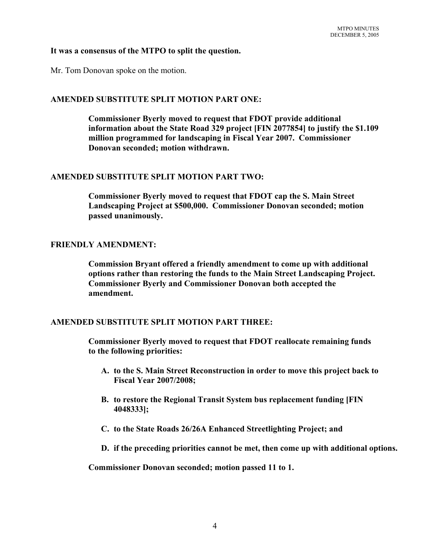#### **It was a consensus of the MTPO to split the question.**

Mr. Tom Donovan spoke on the motion.

#### **AMENDED SUBSTITUTE SPLIT MOTION PART ONE:**

**Commissioner Byerly moved to request that FDOT provide additional information about the State Road 329 project [FIN 2077854] to justify the \$1.109 million programmed for landscaping in Fiscal Year 2007. Commissioner Donovan seconded; motion withdrawn.** 

#### **AMENDED SUBSTITUTE SPLIT MOTION PART TWO:**

**Commissioner Byerly moved to request that FDOT cap the S. Main Street Landscaping Project at \$500,000. Commissioner Donovan seconded; motion passed unanimously.** 

#### **FRIENDLY AMENDMENT:**

**Commission Bryant offered a friendly amendment to come up with additional options rather than restoring the funds to the Main Street Landscaping Project. Commissioner Byerly and Commissioner Donovan both accepted the amendment.**

#### **AMENDED SUBSTITUTE SPLIT MOTION PART THREE:**

**Commissioner Byerly moved to request that FDOT reallocate remaining funds to the following priorities:**

- **A. to the S. Main Street Reconstruction in order to move this project back to Fiscal Year 2007/2008;**
- **B. to restore the Regional Transit System bus replacement funding [FIN 4048333];**
- **C. to the State Roads 26/26A Enhanced Streetlighting Project; and**
- **D. if the preceding priorities cannot be met, then come up with additional options.**

**Commissioner Donovan seconded; motion passed 11 to 1.**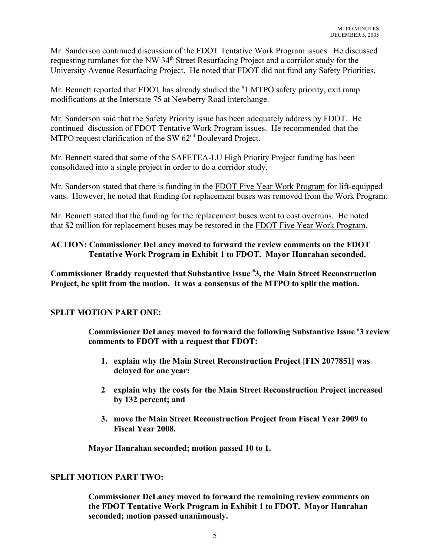Mr. Sanderson continued discussion of the FDOT Tentative Work Program issues. He discussed requesting turnlanes for the NW 34<sup>th</sup> Street Resurfacing Project and a corridor study for the University Avenue Resurfacing Project. He noted that FDOT did not fund any Safety Priorities.

Mr. Bennett reported that FDOT has already studied the <sup>#</sup>1 MTPO safety priority, exit ramp modifications at the Interstate 75 at Newberry Road interchange.

Mr. Sanderson said that the Safety Priority issue has been adequately address by FDOT. He continued discussion of FDOT Tentative Work Program issues. He recommended that the MTPO request clarification of the SW 62<sup>nd</sup> Boulevard Project.

Mr. Bennett stated that some of the SAFETEA-LU High Priority Project funding has been consolidated into a single project in order to do a corridor study.

Mr. Sanderson stated that there is funding in the FDOT Five Year Work Program for lift-equipped vans. However, he noted that funding for replacement buses was removed from the Work Program.

Mr. Bennett stated that the funding for the replacement buses went to cost overruns. He noted that \$2 million for replacement buses may be restored in the FDOT Five Year Work Program.

# **ACTION: Commissioner DeLaney moved to forward the review comments on the FDOT Tentative Work Program in Exhibit 1 to FDOT. Mayor Hanrahan seconded.**

**Commissioner Braddy requested that Substantive Issue # 3, the Main Street Reconstruction Project, be split from the motion. It was a consensus of the MTPO to split the motion.**

# **SPLIT MOTION PART ONE:**

**Commissioner DeLaney moved to forward the following Substantive Issue # 3 review comments to FDOT with a request that FDOT:**

- **1. explain why the Main Street Reconstruction Project [FIN 2077851] was delayed for one year;**
- **2 explain why the costs for the Main Street Reconstruction Project increased by 132 percent; and**
- **3. move the Main Street Reconstruction Project from Fiscal Year 2009 to Fiscal Year 2008.**

**Mayor Hanrahan seconded; motion passed 10 to 1.**

# **SPLIT MOTION PART TWO:**

**Commissioner DeLaney moved to forward the remaining review comments on the FDOT Tentative Work Program in Exhibit 1 to FDOT. Mayor Hanrahan seconded; motion passed unanimously.**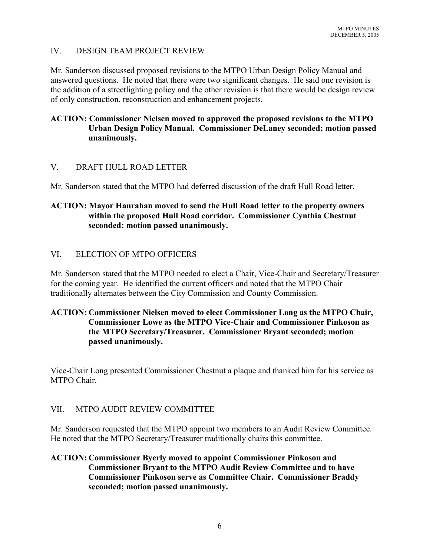# IV. DESIGN TEAM PROJECT REVIEW

Mr. Sanderson discussed proposed revisions to the MTPO Urban Design Policy Manual and answered questions. He noted that there were two significant changes. He said one revision is the addition of a streetlighting policy and the other revision is that there would be design review of only construction, reconstruction and enhancement projects.

# **ACTION: Commissioner Nielsen moved to approved the proposed revisions to the MTPO Urban Design Policy Manual. Commissioner DeLaney seconded; motion passed unanimously.**

# V. DRAFT HULL ROAD LETTER

Mr. Sanderson stated that the MTPO had deferred discussion of the draft Hull Road letter.

# **ACTION: Mayor Hanrahan moved to send the Hull Road letter to the property owners within the proposed Hull Road corridor. Commissioner Cynthia Chestnut seconded; motion passed unanimously.**

# VI. ELECTION OF MTPO OFFICERS

Mr. Sanderson stated that the MTPO needed to elect a Chair, Vice-Chair and Secretary/Treasurer for the coming year. He identified the current officers and noted that the MTPO Chair traditionally alternates between the City Commission and County Commission.

# **ACTION: Commissioner Nielsen moved to elect Commissioner Long as the MTPO Chair, Commissioner Lowe as the MTPO Vice-Chair and Commissioner Pinkoson as the MTPO Secretary/Treasurer. Commissioner Bryant seconded; motion passed unanimously.**

Vice-Chair Long presented Commissioner Chestnut a plaque and thanked him for his service as MTPO Chair.

# VII. MTPO AUDIT REVIEW COMMITTEE

Mr. Sanderson requested that the MTPO appoint two members to an Audit Review Committee. He noted that the MTPO Secretary/Treasurer traditionally chairs this committee.

# **ACTION: Commissioner Byerly moved to appoint Commissioner Pinkoson and Commissioner Bryant to the MTPO Audit Review Committee and to have Commissioner Pinkoson serve as Committee Chair. Commissioner Braddy seconded; motion passed unanimously.**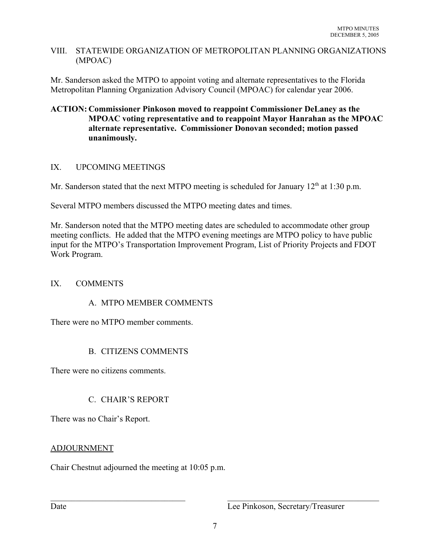#### VIII. STATEWIDE ORGANIZATION OF METROPOLITAN PLANNING ORGANIZATIONS (MPOAC)

Mr. Sanderson asked the MTPO to appoint voting and alternate representatives to the Florida Metropolitan Planning Organization Advisory Council (MPOAC) for calendar year 2006.

# **ACTION: Commissioner Pinkoson moved to reappoint Commissioner DeLaney as the MPOAC voting representative and to reappoint Mayor Hanrahan as the MPOAC alternate representative. Commissioner Donovan seconded; motion passed unanimously.**

# IX. UPCOMING MEETINGS

Mr. Sanderson stated that the next MTPO meeting is scheduled for January  $12<sup>th</sup>$  at 1:30 p.m.

Several MTPO members discussed the MTPO meeting dates and times.

Mr. Sanderson noted that the MTPO meeting dates are scheduled to accommodate other group meeting conflicts. He added that the MTPO evening meetings are MTPO policy to have public input for the MTPO's Transportation Improvement Program, List of Priority Projects and FDOT Work Program.

# IX. COMMENTS

# A. MTPO MEMBER COMMENTS

There were no MTPO member comments.

# B. CITIZENS COMMENTS

There were no citizens comments.

# C. CHAIR'S REPORT

There was no Chair's Report.

# ADJOURNMENT

Chair Chestnut adjourned the meeting at 10:05 p.m.

Date Lee Pinkoson, Secretary/Treasurer

 $\mathcal{L}_\text{max} = \mathcal{L}_\text{max} = \mathcal{L}_\text{max} = \mathcal{L}_\text{max} = \mathcal{L}_\text{max} = \mathcal{L}_\text{max} = \mathcal{L}_\text{max} = \mathcal{L}_\text{max} = \mathcal{L}_\text{max} = \mathcal{L}_\text{max} = \mathcal{L}_\text{max} = \mathcal{L}_\text{max} = \mathcal{L}_\text{max} = \mathcal{L}_\text{max} = \mathcal{L}_\text{max} = \mathcal{L}_\text{max} = \mathcal{L}_\text{max} = \mathcal{L}_\text{max} = \mathcal{$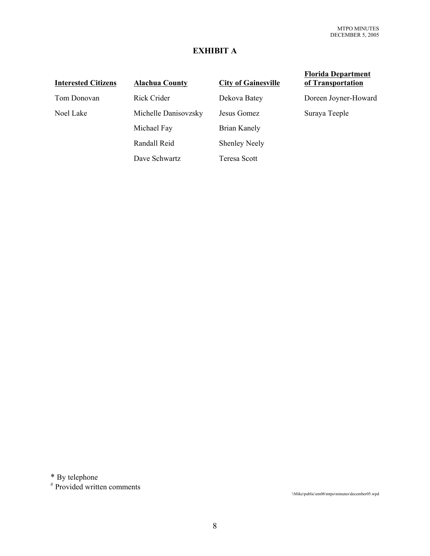# **EXHIBIT A**

# **Interested Citizens Alachua County City of Gainesville**

Tom Donovan Rick Crider Dekova Batey Doreen Joyner-Howard Noel Lake Michelle Danisovzsky Jesus Gomez Suraya Teeple Michael Fay Brian Kanely Randall Reid Shenley Neely Dave Schwartz Teresa Scott

#### **Florida Department of Transportation**

\* By telephone

# Provided written comments

\\Mike\public\em06\mtpo\minutes\december05.wpd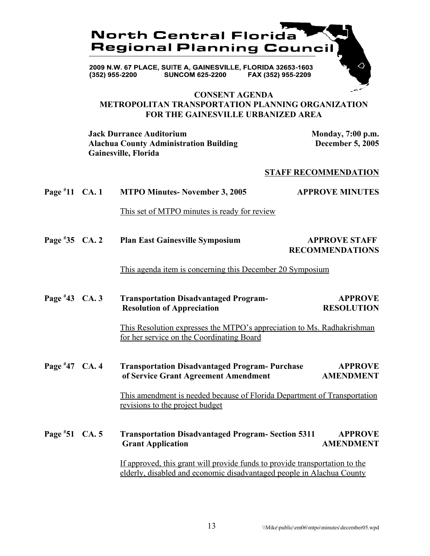

#### **CONSENT AGENDA METROPOLITAN TRANSPORTATION PLANNING ORGANIZATION FOR THE GAINESVILLE URBANIZED AREA**

**Jack Durrance Auditorium Monday, 7:00 p.m. Alachua County Administration Building December 5, 2005 Gainesville, Florida**

#### **STAFF RECOMMENDATION**

| Page $*11$ CA. 1 | <b>MTPO Minutes-November 3, 2005</b>                                                                                                                 | <b>APPROVE MINUTES</b>                         |
|------------------|------------------------------------------------------------------------------------------------------------------------------------------------------|------------------------------------------------|
|                  | This set of MTPO minutes is ready for review                                                                                                         |                                                |
| Page $*35$ CA. 2 | <b>Plan East Gainesville Symposium</b>                                                                                                               | <b>APPROVE STAFF</b><br><b>RECOMMENDATIONS</b> |
|                  | This agenda item is concerning this December 20 Symposium                                                                                            |                                                |
| Page #43 CA. 3   | <b>Transportation Disadvantaged Program-</b><br><b>Resolution of Appreciation</b>                                                                    | <b>APPROVE</b><br><b>RESOLUTION</b>            |
|                  | This Resolution expresses the MTPO's appreciation to Ms. Radhakrishman<br>for her service on the Coordinating Board                                  |                                                |
| Page #47 CA. 4   | <b>Transportation Disadvantaged Program- Purchase</b><br>of Service Grant Agreement Amendment                                                        | <b>APPROVE</b><br><b>AMENDMENT</b>             |
|                  | This amendment is needed because of Florida Department of Transportation<br>revisions to the project budget                                          |                                                |
| Page #51 CA. 5   | <b>Transportation Disadvantaged Program- Section 5311</b><br><b>Grant Application</b>                                                                | <b>APPROVE</b><br><b>AMENDMENT</b>             |
|                  | If approved, this grant will provide funds to provide transportation to the<br>elderly, disabled and economic disadvantaged people in Alachua County |                                                |